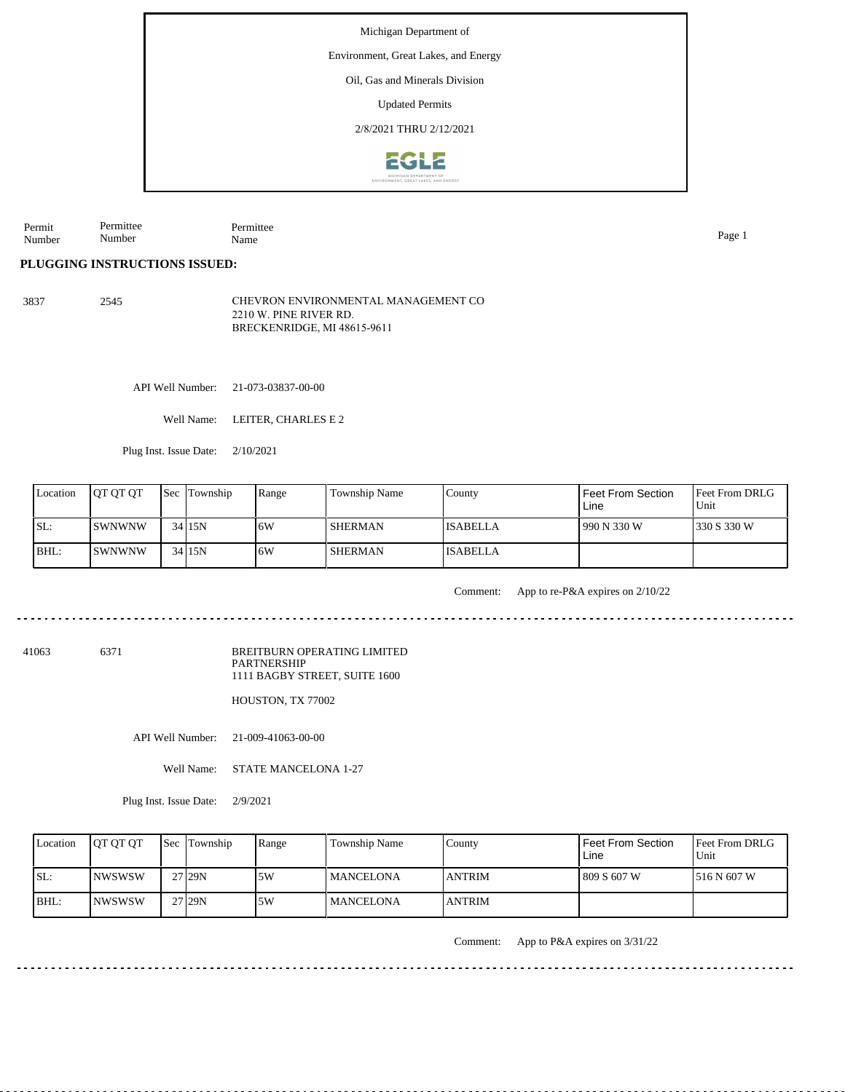Environment, Great Lakes, and Energy

Oil, Gas and Minerals Division

Updated Permits

2/8/2021 THRU 2/12/2021



Permit Number Permittee Number Permittee Name Page 1

د د د د د د د د د

## **PLUGGING INSTRUCTIONS ISSUED:**

3837 2545 CHEVRON ENVIRONMENTAL MANAGEMENT CO 2210 W. PINE RIVER RD. BRECKENRIDGE, MI 48615-9611

API Well Number: 21-073-03837-00-00

Well Name: LEITER, CHARLES E 2

Plug Inst. Issue Date: 2/10/2021

| Location | <b>JOT OT OT</b> | <b>Sec</b> Township | Range | Township Name | County          | Feet From Section<br>Line | <b>Feet From DRLG</b><br>Unit |
|----------|------------------|---------------------|-------|---------------|-----------------|---------------------------|-------------------------------|
| SL:      | ISWNWNW          | 34 15N              | ا 6W  | I SHERMAN     | <b>ISABELLA</b> | 990 N 330 W               | 1330 S 330 W                  |
| BHL:     | ISWNWNW          | 34 15N              | ۱6W   | I SHERMAN     | <b>ISABELLA</b> |                           |                               |

Comment: App to re-P&A expires on 2/10/22

41063 6371

BREITBURN OPERATING LIMITED PARTNERSHIP 1111 BAGBY STREET, SUITE 1600

HOUSTON, TX 77002

API Well Number: 21-009-41063-00-00

Well Name: STATE MANCELONA 1-27

Plug Inst. Issue Date: 2/9/2021

| Location | <b>IOT OT OT</b> | <b>Sec</b> Township | Range | <b>Township Name</b> | Countv         | Feet From Section<br>Line | <b>Feet From DRLG</b><br>Unit |
|----------|------------------|---------------------|-------|----------------------|----------------|---------------------------|-------------------------------|
| SL:      | INWSWSW          | 27 <sub>29N</sub>   | .5W   | <b>MANCELONA</b>     | <b>ANTRIM</b>  | 809 S 607 W               | 1516 N 607 W                  |
| $IBHL$ : | <b>INWSWSW</b>   | 27 <sub>29N</sub>   | 5W    | <b>MANCELONA</b>     | <b>LANTRIM</b> |                           |                               |

Comment: App to P&A expires on 3/31/22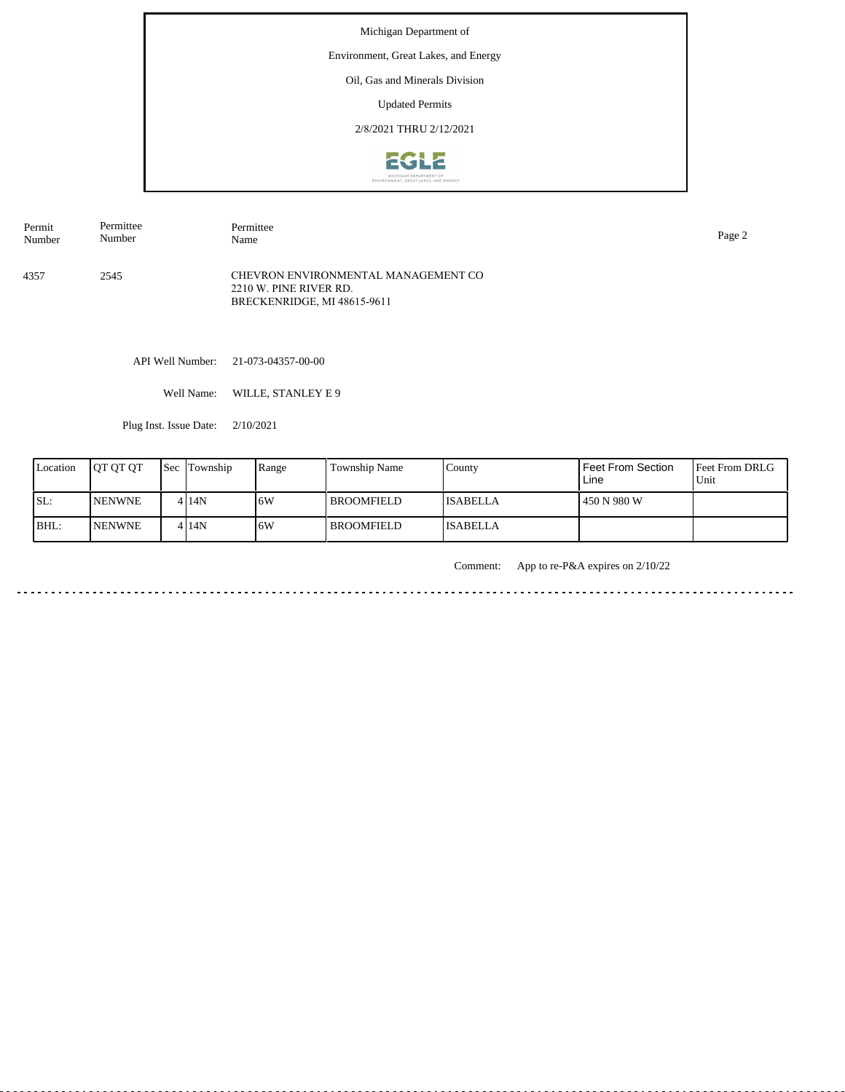# Environment, Great Lakes, and Energy

Oil, Gas and Minerals Division

Updated Permits

2/8/2021 THRU 2/12/2021



| Permit | Permittee | Permittee                                                                                    | Page 2 |
|--------|-----------|----------------------------------------------------------------------------------------------|--------|
| Number | Number    | Name                                                                                         |        |
| 4357   | 2545      | CHEVRON ENVIRONMENTAL MANAGEMENT CO<br>2210 W. PINE RIVER RD.<br>BRECKENRIDGE, MI 48615-9611 |        |

API Well Number: 21-073-04357-00-00

Well Name: WILLE, STANLEY E 9

Plug Inst. Issue Date: 2/10/2021

| Location | <b>IOT OT OT</b> | <b>Sec</b> Township | Range | Township Name     | County          | Feet From Section<br>Line | <b>Feet From DRLG</b><br>Unit |
|----------|------------------|---------------------|-------|-------------------|-----------------|---------------------------|-------------------------------|
| ISL:     | <b>INENWNE</b>   | 4 I 14 N            | 16W   | <b>BROOMFIELD</b> | <b>ISABELLA</b> | 450 N 980 W               |                               |
| BHL:     | <b>NENWNE</b>    | 4 14N               | 16W   | l BROOMFIELD-     | <b>ISABELLA</b> |                           |                               |

Comment: App to re-P&A expires on 2/10/22

. . . . . . . . . . . . . . . . . . . . . . . . . . . . . . . . . . . . . . <u>. . . . . . . . . . . . .</u>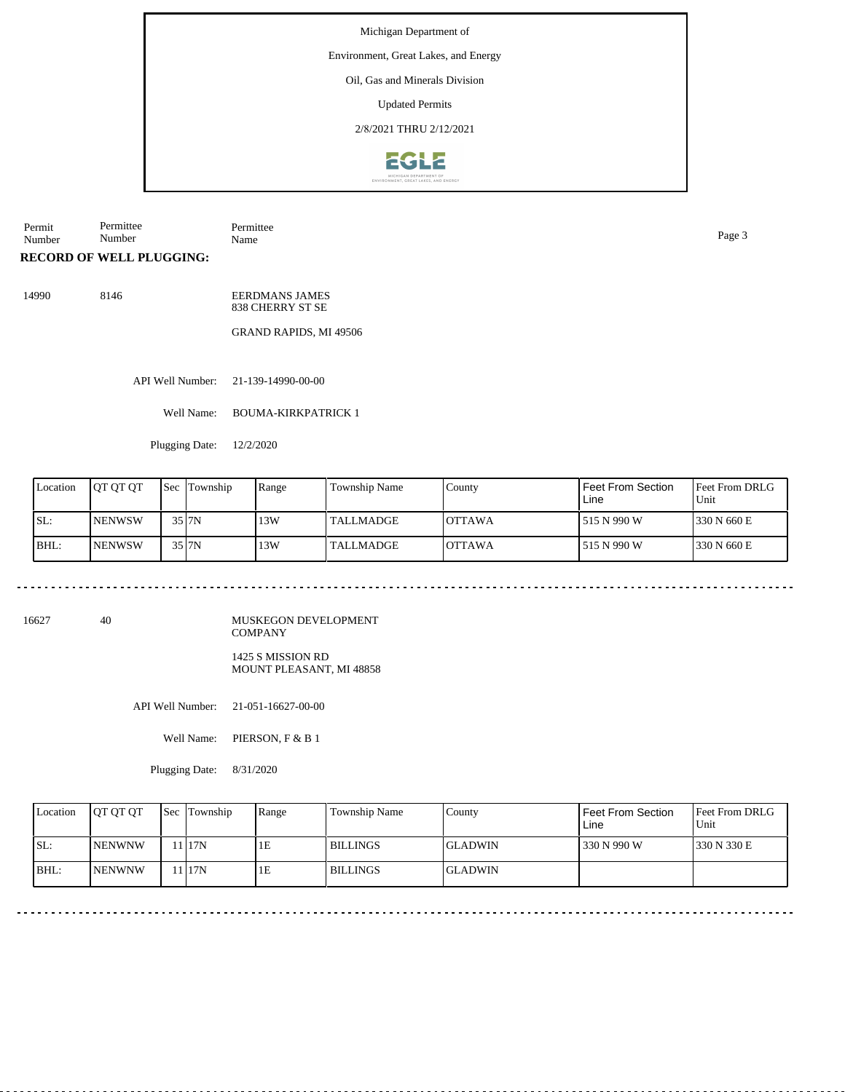## Environment, Great Lakes, and Energy

Oil, Gas and Minerals Division

Updated Permits

2/8/2021 THRU 2/12/2021



**RECORD OF WELL PLUGGING:** Permit Number Permittee Number Permittee Name Page 3

14990 8146 EERDMANS JAMES 838 CHERRY ST SE

GRAND RAPIDS, MI 49506

API Well Number: 21-139-14990-00-00

Well Name: BOUMA-KIRKPATRICK 1

Plugging Date: 12/2/2020

| Location | <b>IOT OT OT</b> | <b>Sec</b> | Township | Range | <b>Township Name</b> | County         | l Feet From Section<br>Line | Feet From DRLG<br>Unit |
|----------|------------------|------------|----------|-------|----------------------|----------------|-----------------------------|------------------------|
| ISL:     | <b>INENWSW</b>   |            | 35   7N  | 13W   | <b>TALLMADGE</b>     | <b>IOTTAWA</b> | l 515 N 990 W               | 330 N 660 E            |
| BHL:     | <b>INENWSW</b>   |            | 35 J7N   | 13W   | <b>TALLMADGE</b>     | <b>IOTTAWA</b> | l 515 N 990 W               | 330 N 660 E            |

16627 40

MUSKEGON DEVELOPMENT COMPANY

1425 S MISSION RD MOUNT PLEASANT, MI 48858

API Well Number: 21-051-16627-00-00

Well Name: PIERSON, F & B 1

Plugging Date: 8/31/2020

| Location | <b>IOT OT OT</b> | <b>Sec Township</b> | Range | Township Name   | County         | <b>Feet From Section</b><br>Line | <b>Feet From DRLG</b><br>Unit |
|----------|------------------|---------------------|-------|-----------------|----------------|----------------------------------|-------------------------------|
| ISL:     | <b>INENWNW</b>   | 1117N               | IЕ    | <b>BILLINGS</b> | <b>GLADWIN</b> | 330 N 990 W                      | 1330 N 330 E                  |
| BHL:     | <b>INENWNW</b>   | 117N                | 1Ε    | <b>BILLINGS</b> | <b>GLADWIN</b> |                                  |                               |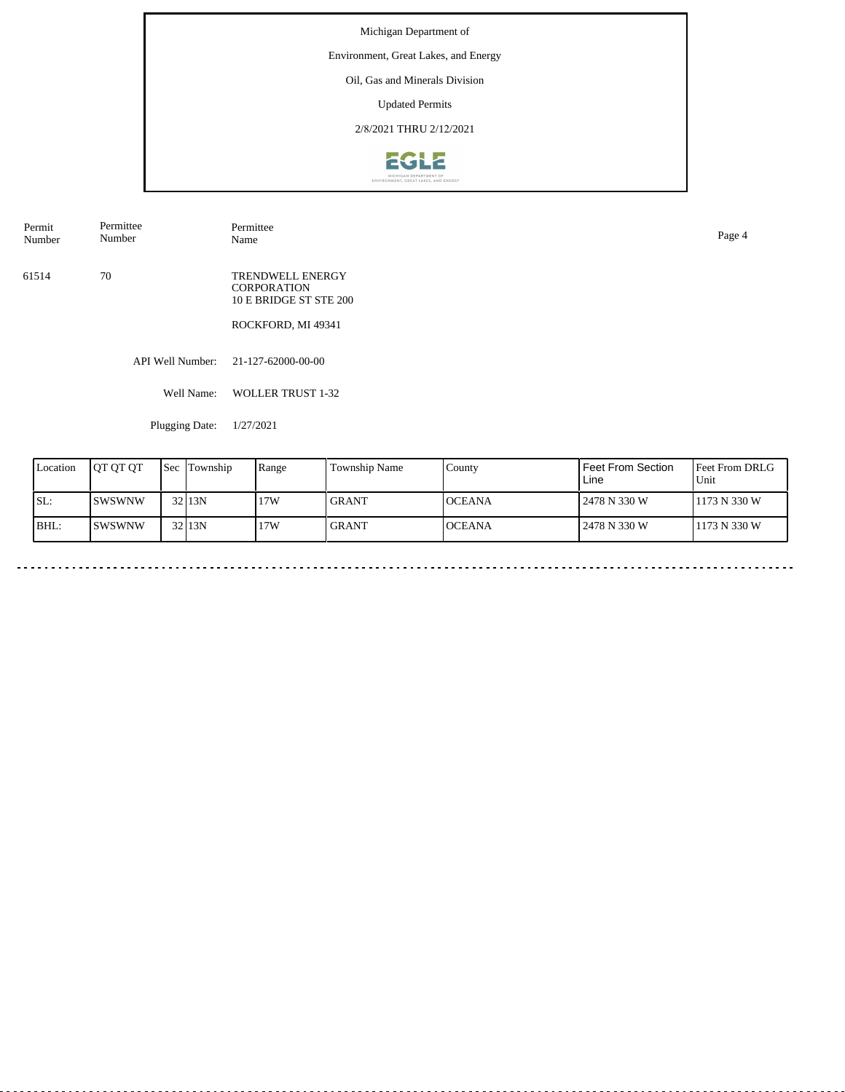## Environment, Great Lakes, and Energy

Oil, Gas and Minerals Division

Updated Permits

2/8/2021 THRU 2/12/2021



API Well Number: 21-127-62000-00-00 Well Name: WOLLER TRUST 1-32 61514 70 TRENDWELL ENERGY CORPORATION 10 E BRIDGE ST STE 200 ROCKFORD, MI 49341 Permit Number Permittee Number Permittee<br>Name Name Page 4

Plugging Date: 1/27/2021

| Location | <b>IOT OT OT</b> | Sec | Township          | Range | <b>Township Name</b> | County         | Feet From Section<br>Line | <b>Feet From DRLG</b><br>Unit |
|----------|------------------|-----|-------------------|-------|----------------------|----------------|---------------------------|-------------------------------|
| ISL:     | ISWSWNW          |     | 32 <sub>13N</sub> | 17W   | <b>GRANT</b>         | <b>IOCEANA</b> | 2478 N 330 W              | 1173 N 330 W                  |
| BHL:     | ISWSWNW          |     | 32 <sub>13N</sub> | 17W   | <b>GRANT</b>         | <b>OCEANA</b>  | 2478 N 330 W              | 1173 N 330 W                  |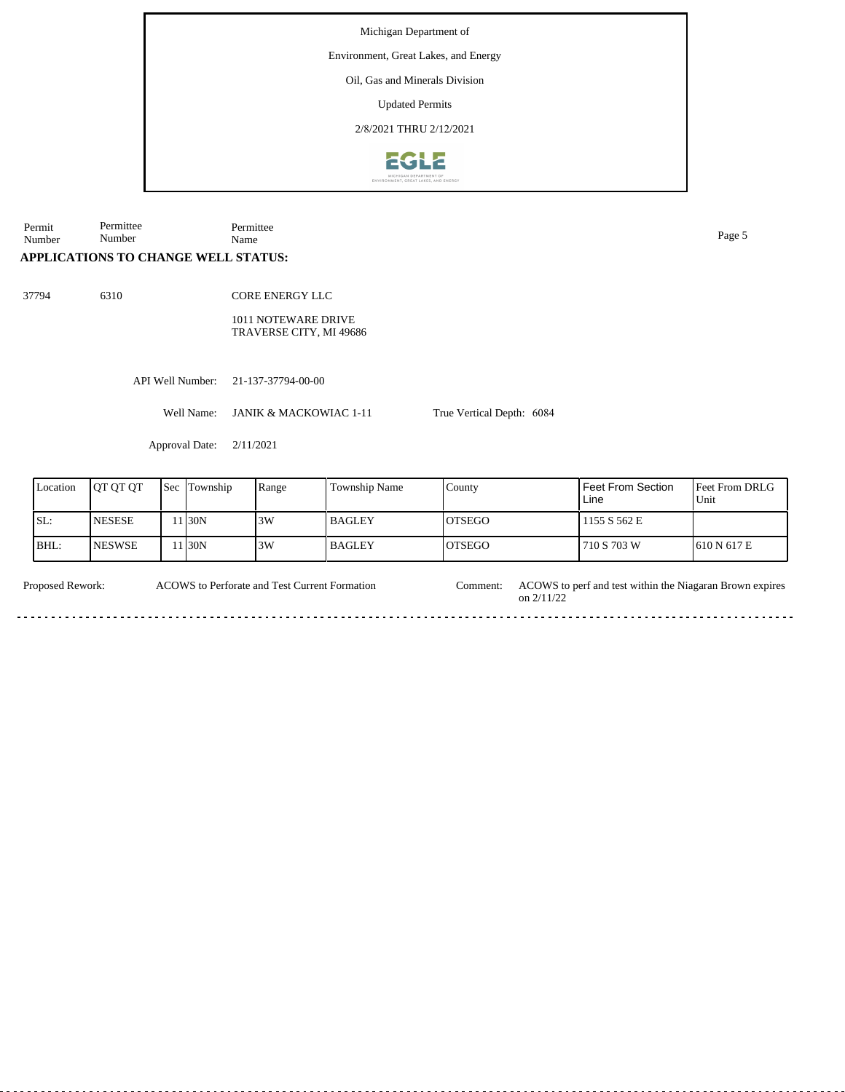Environment, Great Lakes, and Energy

Oil, Gas and Minerals Division

Updated Permits

2/8/2021 THRU 2/12/2021



Permit Number Permittee Number Permittee Name Page 5

# **APPLICATIONS TO CHANGE WELL STATUS:**

37794 6310

CORE ENERGY LLC 1011 NOTEWARE DRIVE

TRAVERSE CITY, MI 49686

API Well Number: 21-137-37794-00-00

Well Name: JANIK & MACKOWIAC 1-11

Approval Date: 2/11/2021

| Location | IOT OT OT      | <b>Sec Township</b> | Range | <b>Township Name</b> | County         | Feet From Section<br>Line | <b>IFeet From DRLG</b><br>Unit |
|----------|----------------|---------------------|-------|----------------------|----------------|---------------------------|--------------------------------|
| ISL:     | <b>NESESE</b>  | 1130N               | 3W    | l BAGLEY             | IOTSEGO        | 1155 S 562 E              |                                |
| BHL:     | <b>INESWSE</b> | 1 <sub>30</sub> N   | 3W    | l BAGLEY             | <b>IOTSEGO</b> | 710 S 703 W               | 1610 N 617 E                   |

True Vertical Depth: 6084

ACOWS to Perforate and Test Current Formation

Proposed Rework: ACOWS to Perforate and Test Current Formation Comment: ACOWS to perf and test within the Niagaran Brown expires on 2/11/22 Comment: